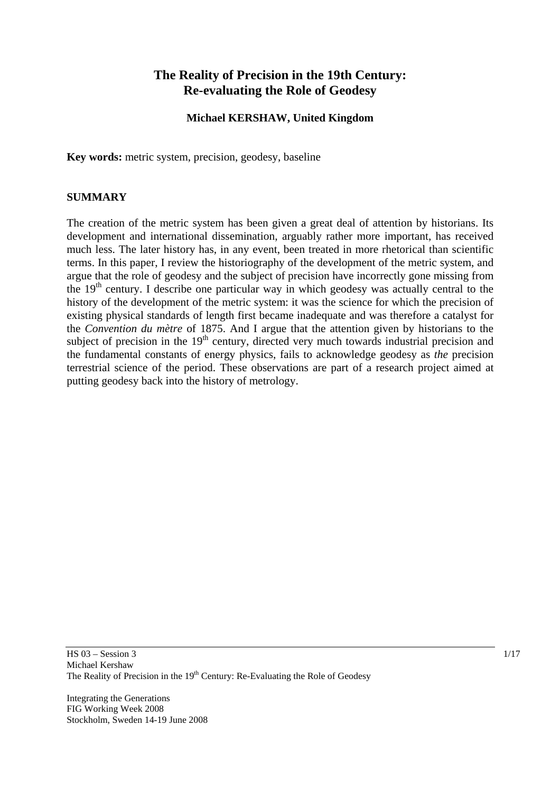# **The Reality of Precision in the 19th Century: Re-evaluating the Role of Geodesy**

### **Michael KERSHAW, United Kingdom**

**Key words:** metric system, precision, geodesy, baseline

#### **SUMMARY**

The creation of the metric system has been given a great deal of attention by historians. Its development and international dissemination, arguably rather more important, has received much less. The later history has, in any event, been treated in more rhetorical than scientific terms. In this paper, I review the historiography of the development of the metric system, and argue that the role of geodesy and the subject of precision have incorrectly gone missing from the  $19<sup>th</sup>$  century. I describe one particular way in which geodesy was actually central to the history of the development of the metric system: it was the science for which the precision of existing physical standards of length first became inadequate and was therefore a catalyst for the *Convention du mètre* of 1875. And I argue that the attention given by historians to the subject of precision in the 19<sup>th</sup> century, directed very much towards industrial precision and the fundamental constants of energy physics, fails to acknowledge geodesy as *the* precision terrestrial science of the period. These observations are part of a research project aimed at putting geodesy back into the history of metrology.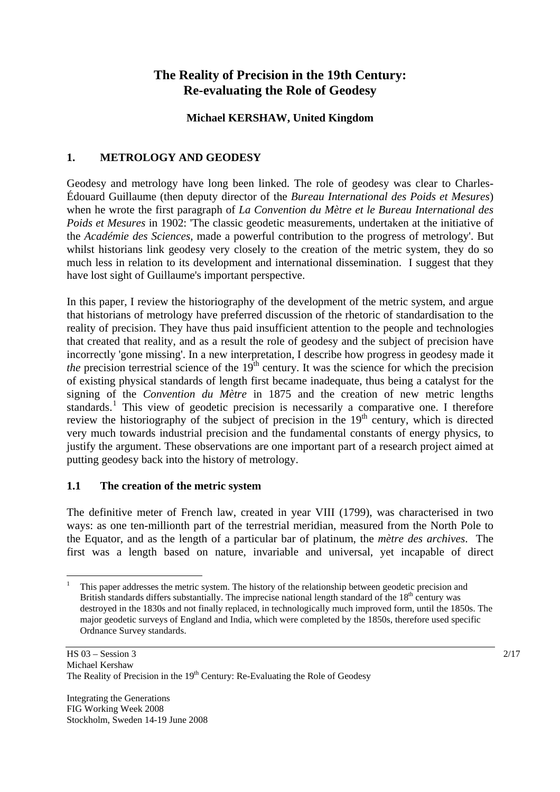# **The Reality of Precision in the 19th Century: Re-evaluating the Role of Geodesy**

## **Michael KERSHAW, United Kingdom**

# **1. METROLOGY AND GEODESY**

Geodesy and metrology have long been linked. The role of geodesy was clear to Charles-Édouard Guillaume (then deputy director of the *Bureau International des Poids et Mesures*) when he wrote the first paragraph of *La Convention du Mètre et le Bureau International des Poids et Mesures* in 1902: 'The classic geodetic measurements, undertaken at the initiative of the *Académie des Sciences*, made a powerful contribution to the progress of metrology'. But whilst historians link geodesy very closely to the creation of the metric system, they do so much less in relation to its development and international dissemination. I suggest that they have lost sight of Guillaume's important perspective.

In this paper, I review the historiography of the development of the metric system, and argue that historians of metrology have preferred discussion of the rhetoric of standardisation to the reality of precision. They have thus paid insufficient attention to the people and technologies that created that reality, and as a result the role of geodesy and the subject of precision have incorrectly 'gone missing'. In a new interpretation, I describe how progress in geodesy made it *the* precision terrestrial science of the  $19<sup>th</sup>$  century. It was the science for which the precision of existing physical standards of length first became inadequate, thus being a catalyst for the signing of the *Convention du Mètre* in 1875 and the creation of new metric lengths standards.<sup>[1](#page-1-0)</sup> This view of geodetic precision is necessarily a comparative one. I therefore review the historiography of the subject of precision in the  $19<sup>th</sup>$  century, which is directed very much towards industrial precision and the fundamental constants of energy physics, to justify the argument. These observations are one important part of a research project aimed at putting geodesy back into the history of metrology.

## **1.1 The creation of the metric system**

The definitive meter of French law, created in year VIII (1799), was characterised in two ways: as one ten-millionth part of the terrestrial meridian, measured from the North Pole to the Equator, and as the length of a particular bar of platinum, the *mètre des archives*. The first was a length based on nature, invariable and universal, yet incapable of direct

<span id="page-1-0"></span> $\overline{a}$ 1 This paper addresses the metric system. The history of the relationship between geodetic precision and British standards differs substantially. The imprecise national length standard of the  $18<sup>th</sup>$  century was destroyed in the 1830s and not finally replaced, in technologically much improved form, until the 1850s. The major geodetic surveys of England and India, which were completed by the 1850s, therefore used specific Ordnance Survey standards.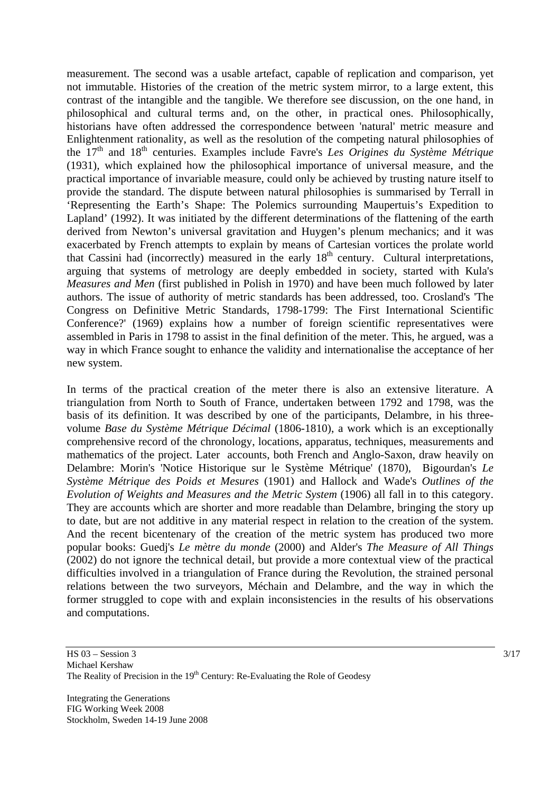measurement. The second was a usable artefact, capable of replication and comparison, yet not immutable. Histories of the creation of the metric system mirror, to a large extent, this contrast of the intangible and the tangible. We therefore see discussion, on the one hand, in philosophical and cultural terms and, on the other, in practical ones. Philosophically, historians have often addressed the correspondence between 'natural' metric measure and Enlightenment rationality, as well as the resolution of the competing natural philosophies of the 17th and 18th centuries. Examples include Favre's *Les Origines du Système Métrique*  (1931)*,* which explained how the philosophical importance of universal measure, and the practical importance of invariable measure, could only be achieved by trusting nature itself to provide the standard. The dispute between natural philosophies is summarised by Terrall in 'Representing the Earth's Shape: The Polemics surrounding Maupertuis's Expedition to Lapland' (1992). It was initiated by the different determinations of the flattening of the earth derived from Newton's universal gravitation and Huygen's plenum mechanics; and it was exacerbated by French attempts to explain by means of Cartesian vortices the prolate world that Cassini had (incorrectly) measured in the early 18<sup>th</sup> century. Cultural interpretations, arguing that systems of metrology are deeply embedded in society, started with Kula's *Measures and Men* (first published in Polish in 1970) and have been much followed by later authors. The issue of authority of metric standards has been addressed, too. Crosland's 'The Congress on Definitive Metric Standards, 1798-1799: The First International Scientific Conference?' (1969) explains how a number of foreign scientific representatives were assembled in Paris in 1798 to assist in the final definition of the meter. This, he argued, was a way in which France sought to enhance the validity and internationalise the acceptance of her new system.

In terms of the practical creation of the meter there is also an extensive literature. A triangulation from North to South of France, undertaken between 1792 and 1798, was the basis of its definition. It was described by one of the participants, Delambre, in his threevolume *Base du Système Métrique Décimal* (1806-1810), a work which is an exceptionally comprehensive record of the chronology, locations, apparatus, techniques, measurements and mathematics of the project. Later accounts, both French and Anglo-Saxon, draw heavily on Delambre: Morin's 'Notice Historique sur le Système Métrique' (1870), Bigourdan's *Le Système Métrique des Poids et Mesures* (1901) and Hallock and Wade's *Outlines of the Evolution of Weights and Measures and the Metric System* (1906) all fall in to this category. They are accounts which are shorter and more readable than Delambre, bringing the story up to date, but are not additive in any material respect in relation to the creation of the system. And the recent bicentenary of the creation of the metric system has produced two more popular books: Guedj's *Le mètre du monde* (2000) and Alder's *The Measure of All Things*  (2002) do not ignore the technical detail, but provide a more contextual view of the practical difficulties involved in a triangulation of France during the Revolution, the strained personal relations between the two surveyors, Méchain and Delambre, and the way in which the former struggled to cope with and explain inconsistencies in the results of his observations and computations.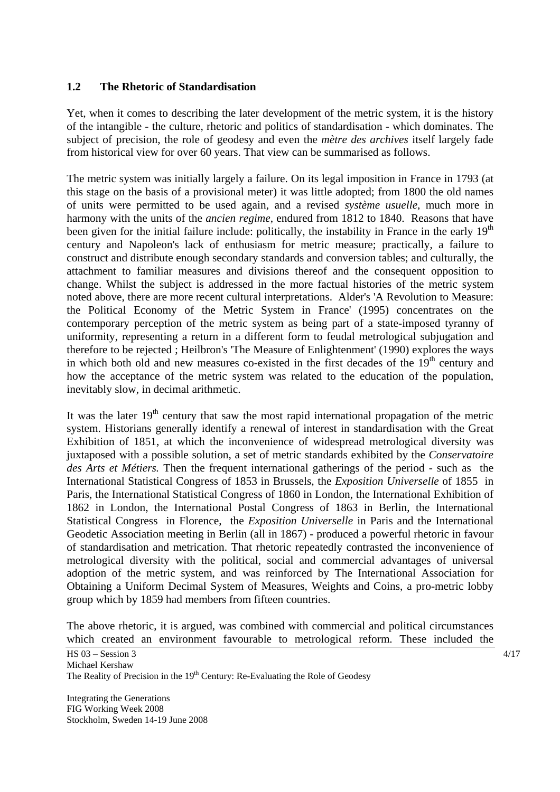#### **1.2 The Rhetoric of Standardisation**

Yet, when it comes to describing the later development of the metric system, it is the history of the intangible - the culture, rhetoric and politics of standardisation - which dominates. The subject of precision, the role of geodesy and even the *mètre des archives* itself largely fade from historical view for over 60 years. That view can be summarised as follows.

The metric system was initially largely a failure. On its legal imposition in France in 1793 (at this stage on the basis of a provisional meter) it was little adopted; from 1800 the old names of units were permitted to be used again, and a revised *système usuelle*, much more in harmony with the units of the *ancien regime*, endured from 1812 to 1840. Reasons that have been given for the initial failure include: politically, the instability in France in the early  $19<sup>th</sup>$ century and Napoleon's lack of enthusiasm for metric measure; practically, a failure to construct and distribute enough secondary standards and conversion tables; and culturally, the attachment to familiar measures and divisions thereof and the consequent opposition to change. Whilst the subject is addressed in the more factual histories of the metric system noted above, there are more recent cultural interpretations. Alder's 'A Revolution to Measure: the Political Economy of the Metric System in France' (1995) concentrates on the contemporary perception of the metric system as being part of a state-imposed tyranny of uniformity, representing a return in a different form to feudal metrological subjugation and therefore to be rejected ; Heilbron's 'The Measure of Enlightenment' (1990) explores the ways in which both old and new measures co-existed in the first decades of the  $19<sup>th</sup>$  century and how the acceptance of the metric system was related to the education of the population, inevitably slow, in decimal arithmetic.

It was the later  $19<sup>th</sup>$  century that saw the most rapid international propagation of the metric system. Historians generally identify a renewal of interest in standardisation with the Great Exhibition of 1851, at which the inconvenience of widespread metrological diversity was juxtaposed with a possible solution, a set of metric standards exhibited by the *Conservatoire des Arts et Métiers.* Then the frequent international gatherings of the period - such as the International Statistical Congress of 1853 in Brussels, the *Exposition Universelle* of 1855 in Paris, the International Statistical Congress of 1860 in London, the International Exhibition of 1862 in London, the International Postal Congress of 1863 in Berlin, the International Statistical Congress in Florence, the *Exposition Universelle* in Paris and the International Geodetic Association meeting in Berlin (all in 1867) - produced a powerful rhetoric in favour of standardisation and metrication. That rhetoric repeatedly contrasted the inconvenience of metrological diversity with the political, social and commercial advantages of universal adoption of the metric system, and was reinforced by The International Association for Obtaining a Uniform Decimal System of Measures, Weights and Coins, a pro-metric lobby group which by 1859 had members from fifteen countries.

The above rhetoric, it is argued, was combined with commercial and political circumstances which created an environment favourable to metrological reform. These included the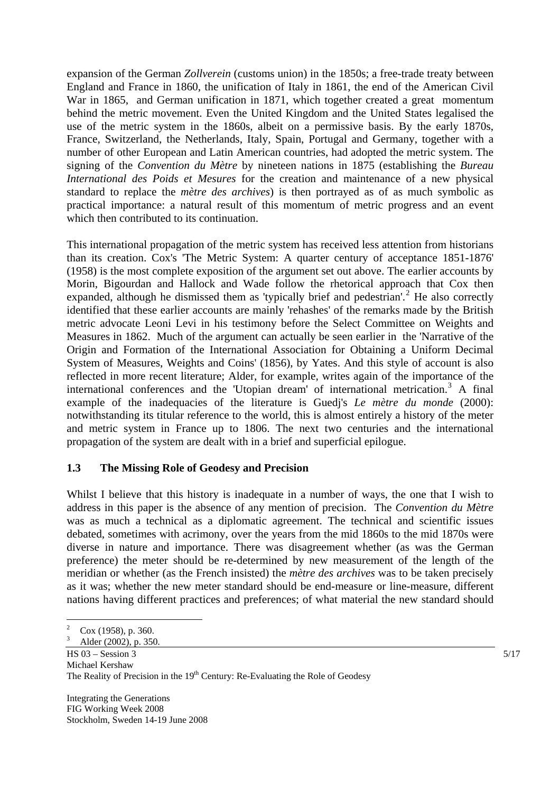expansion of the German *Zollverein* (customs union) in the 1850s; a free-trade treaty between England and France in 1860, the unification of Italy in 1861, the end of the American Civil War in 1865, and German unification in 1871, which together created a great momentum behind the metric movement. Even the United Kingdom and the United States legalised the use of the metric system in the 1860s, albeit on a permissive basis. By the early 1870s, France, Switzerland, the Netherlands, Italy, Spain, Portugal and Germany, together with a number of other European and Latin American countries, had adopted the metric system. The signing of the *Convention du Mètre* by nineteen nations in 1875 (establishing the *Bureau International des Poids et Mesures* for the creation and maintenance of a new physical standard to replace the *mètre des archives*) is then portrayed as of as much symbolic as practical importance: a natural result of this momentum of metric progress and an event which then contributed to its continuation.

This international propagation of the metric system has received less attention from historians than its creation. Cox's 'The Metric System: A quarter century of acceptance 1851-1876' (1958) is the most complete exposition of the argument set out above. The earlier accounts by Morin, Bigourdan and Hallock and Wade follow the rhetorical approach that Cox then expanded, although he dismissed them as 'typically brief and pedestrian'.<sup>[2](#page-4-0)</sup> He also correctly identified that these earlier accounts are mainly 'rehashes' of the remarks made by the British metric advocate Leoni Levi in his testimony before the Select Committee on Weights and Measures in 1862. Much of the argument can actually be seen earlier in the 'Narrative of the Origin and Formation of the International Association for Obtaining a Uniform Decimal System of Measures, Weights and Coins' (1856), by Yates. And this style of account is also reflected in more recent literature; Alder, for example, writes again of the importance of the international conferences and the 'Utopian dream' of international metrication.<sup>[3](#page-4-1)</sup> A final example of the inadequacies of the literature is Guedj's *Le mètre du monde* (2000): notwithstanding its titular reference to the world, this is almost entirely a history of the meter and metric system in France up to 1806. The next two centuries and the international propagation of the system are dealt with in a brief and superficial epilogue.

## **1.3 The Missing Role of Geodesy and Precision**

Whilst I believe that this history is inadequate in a number of ways, the one that I wish to address in this paper is the absence of any mention of precision. The *Convention du Mètre*  was as much a technical as a diplomatic agreement. The technical and scientific issues debated, sometimes with acrimony, over the years from the mid 1860s to the mid 1870s were diverse in nature and importance. There was disagreement whether (as was the German preference) the meter should be re-determined by new measurement of the length of the meridian or whether (as the French insisted) the *mètre des archives* was to be taken precisely as it was; whether the new meter standard should be end-measure or line-measure, different nations having different practices and preferences; of what material the new standard should

 $\overline{a}$ 

<sup>2</sup> Cox (1958), p. 360. 3

<span id="page-4-1"></span><span id="page-4-0"></span>HS  $03 -$  Session 3 5/17 Michael Kershaw The Reality of Precision in the  $19<sup>th</sup>$  Century: Re-Evaluating the Role of Geodesy Alder (2002), p. 350.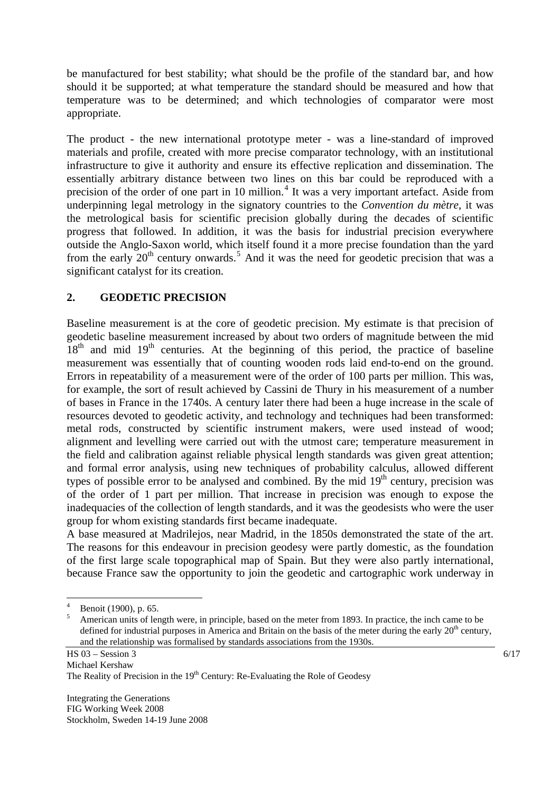be manufactured for best stability; what should be the profile of the standard bar, and how should it be supported; at what temperature the standard should be measured and how that temperature was to be determined; and which technologies of comparator were most appropriate.

The product - the new international prototype meter - was a line-standard of improved materials and profile, created with more precise comparator technology, with an institutional infrastructure to give it authority and ensure its effective replication and dissemination. The essentially arbitrary distance between two lines on this bar could be reproduced with a precision of the order of one part in 10 million.<sup>[4](#page-5-0)</sup> It was a very important artefact. Aside from underpinning legal metrology in the signatory countries to the *Convention du mètre*, it was the metrological basis for scientific precision globally during the decades of scientific progress that followed. In addition, it was the basis for industrial precision everywhere outside the Anglo-Saxon world, which itself found it a more precise foundation than the yard from the early  $20<sup>th</sup>$  century onwards.<sup>[5](#page-5-1)</sup> And it was the need for geodetic precision that was a significant catalyst for its creation.

# **2. GEODETIC PRECISION**

Baseline measurement is at the core of geodetic precision. My estimate is that precision of geodetic baseline measurement increased by about two orders of magnitude between the mid  $18<sup>th</sup>$  and mid  $19<sup>th</sup>$  centuries. At the beginning of this period, the practice of baseline measurement was essentially that of counting wooden rods laid end-to-end on the ground. Errors in repeatability of a measurement were of the order of 100 parts per million. This was, for example, the sort of result achieved by Cassini de Thury in his measurement of a number of bases in France in the 1740s. A century later there had been a huge increase in the scale of resources devoted to geodetic activity, and technology and techniques had been transformed: metal rods, constructed by scientific instrument makers, were used instead of wood; alignment and levelling were carried out with the utmost care; temperature measurement in the field and calibration against reliable physical length standards was given great attention; and formal error analysis, using new techniques of probability calculus, allowed different types of possible error to be analysed and combined. By the mid  $19<sup>th</sup>$  century, precision was of the order of 1 part per million. That increase in precision was enough to expose the inadequacies of the collection of length standards, and it was the geodesists who were the user group for whom existing standards first became inadequate.

A base measured at Madrilejos, near Madrid, in the 1850s demonstrated the state of the art. The reasons for this endeavour in precision geodesy were partly domestic, as the foundation of the first large scale topographical map of Spain. But they were also partly international, because France saw the opportunity to join the geodetic and cartographic work underway in

 $\frac{1}{4}$ Benoit (1900), p. 65.

<span id="page-5-1"></span><span id="page-5-0"></span><sup>5</sup> American units of length were, in principle, based on the meter from 1893. In practice, the inch came to be defined for industrial purposes in America and Britain on the basis of the meter during the early  $20<sup>th</sup>$  century, and the relationship was formalised by standards associations from the 1930s.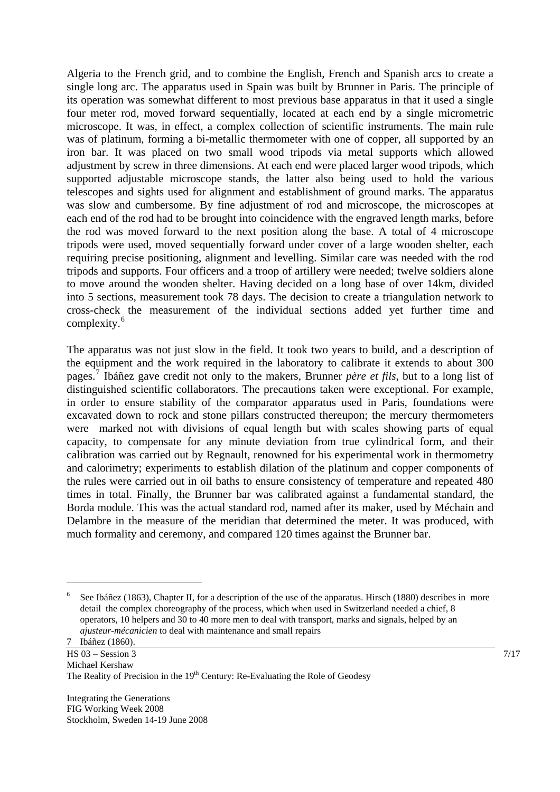Algeria to the French grid, and to combine the English, French and Spanish arcs to create a single long arc. The apparatus used in Spain was built by Brunner in Paris. The principle of its operation was somewhat different to most previous base apparatus in that it used a single four meter rod, moved forward sequentially, located at each end by a single micrometric microscope. It was, in effect, a complex collection of scientific instruments. The main rule was of platinum, forming a bi-metallic thermometer with one of copper, all supported by an iron bar. It was placed on two small wood tripods via metal supports which allowed adjustment by screw in three dimensions. At each end were placed larger wood tripods, which supported adjustable microscope stands, the latter also being used to hold the various telescopes and sights used for alignment and establishment of ground marks. The apparatus was slow and cumbersome. By fine adjustment of rod and microscope, the microscopes at each end of the rod had to be brought into coincidence with the engraved length marks, before the rod was moved forward to the next position along the base. A total of 4 microscope tripods were used, moved sequentially forward under cover of a large wooden shelter, each requiring precise positioning, alignment and levelling. Similar care was needed with the rod tripods and supports. Four officers and a troop of artillery were needed; twelve soldiers alone to move around the wooden shelter. Having decided on a long base of over 14km, divided into 5 sections, measurement took 78 days. The decision to create a triangulation network to cross-check the measurement of the individual sections added yet further time and complexity.<sup>[6](#page-6-0)</sup>

The apparatus was not just slow in the field. It took two years to build, and a description of the equipment and the work required in the laboratory to calibrate it extends to about 300 pages.[7](#page-6-1) Ibáñez gave credit not only to the makers, Brunner *père et fils*, but to a long list of distinguished scientific collaborators. The precautions taken were exceptional. For example, in order to ensure stability of the comparator apparatus used in Paris, foundations were excavated down to rock and stone pillars constructed thereupon; the mercury thermometers were marked not with divisions of equal length but with scales showing parts of equal capacity, to compensate for any minute deviation from true cylindrical form, and their calibration was carried out by Regnault, renowned for his experimental work in thermometry and calorimetry; experiments to establish dilation of the platinum and copper components of the rules were carried out in oil baths to ensure consistency of temperature and repeated 480 times in total. Finally, the Brunner bar was calibrated against a fundamental standard, the Borda module. This was the actual standard rod, named after its maker, used by Méchain and Delambre in the measure of the meridian that determined the meter. It was produced, with much formality and ceremony, and compared 120 times against the Brunner bar.

 $\overline{a}$ 

<span id="page-6-0"></span><sup>6</sup> See Ibáñez (1863), Chapter II, for a description of the use of the apparatus. Hirsch (1880) describes in more detail the complex choreography of the process, which when used in Switzerland needed a chief, 8 operators, 10 helpers and 30 to 40 more men to deal with transport, marks and signals, helped by an *ajusteur-mécanicien* to deal with maintenance and small repairs

<span id="page-6-1"></span> $\text{HS } 03 - \text{Session } 3$  7/17 Michael Kershaw The Reality of Precision in the  $19<sup>th</sup>$  Century: Re-Evaluating the Role of Geodesy 7 Ibáñez (1860).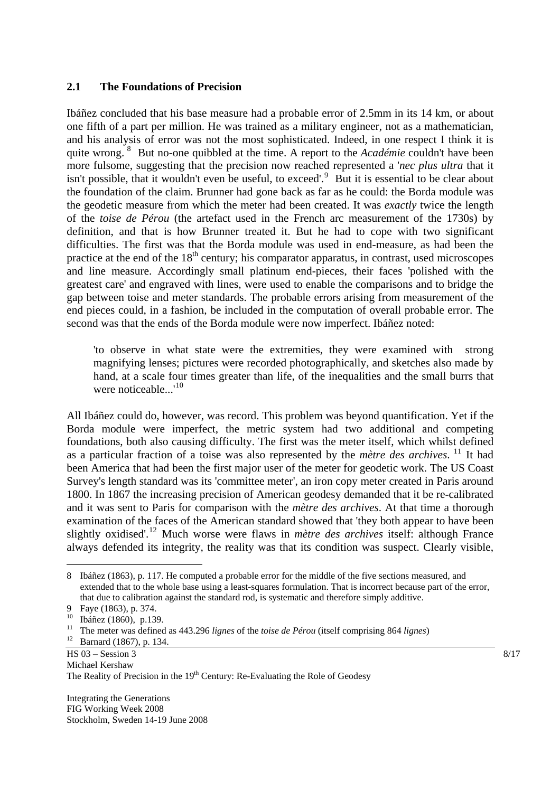#### **2.1 The Foundations of Precision**

Ibáñez concluded that his base measure had a probable error of 2.5mm in its 14 km, or about one fifth of a part per million. He was trained as a military engineer, not as a mathematician, and his analysis of error was not the most sophisticated. Indeed, in one respect I think it is quite wrong. <sup>[8](#page-7-0)</sup> But no-one quibbled at the time. A report to the *Académie* couldn't have been more fulsome, suggesting that the precision now reached represented a '*nec plus ultra* that it isn't possible, that it wouldn't even be useful, to exceed'.<sup>[9](#page-7-1)</sup> But it is essential to be clear about the foundation of the claim. Brunner had gone back as far as he could: the Borda module was the geodetic measure from which the meter had been created. It was *exactly* twice the length of the *toise de Pérou* (the artefact used in the French arc measurement of the 1730s) by definition, and that is how Brunner treated it. But he had to cope with two significant difficulties. The first was that the Borda module was used in end-measure, as had been the practice at the end of the  $18<sup>th</sup>$  century; his comparator apparatus, in contrast, used microscopes and line measure. Accordingly small platinum end-pieces, their faces 'polished with the greatest care' and engraved with lines, were used to enable the comparisons and to bridge the gap between toise and meter standards. The probable errors arising from measurement of the end pieces could, in a fashion, be included in the computation of overall probable error. The second was that the ends of the Borda module were now imperfect. Ibáñez noted:

'to observe in what state were the extremities, they were examined with strong magnifying lenses; pictures were recorded photographically, and sketches also made by hand, at a scale four times greater than life, of the inequalities and the small burrs that were noticeable...'<sup>[10](#page-7-2)</sup>

All Ibáñez could do, however, was record. This problem was beyond quantification. Yet if the Borda module were imperfect, the metric system had two additional and competing foundations, both also causing difficulty. The first was the meter itself, which whilst defined as a particular fraction of a toise was also represented by the *mètre des archives*. [11](#page-7-3) It had been America that had been the first major user of the meter for geodetic work. The US Coast Survey's length standard was its 'committee meter', an iron copy meter created in Paris around 1800. In 1867 the increasing precision of American geodesy demanded that it be re-calibrated and it was sent to Paris for comparison with the *mètre des archives*. At that time a thorough examination of the faces of the American standard showed that 'they both appear to have been slightly oxidised'.[12](#page-7-4) Much worse were flaws in *mètre des archives* itself: although France always defended its integrity*,* the reality was that its condition was suspect. Clearly visible,

 $\overline{a}$ 

<span id="page-7-0"></span><sup>8</sup> Ibáñez (1863), p. 117. He computed a probable error for the middle of the five sections measured, and extended that to the whole base using a least-squares formulation. That is incorrect because part of the error, that due to calibration against the standard rod, is systematic and therefore simply additive.

<span id="page-7-1"></span><sup>9</sup> Faye (1863), p. 374.

<span id="page-7-2"></span><sup>10</sup> Ibáñez (1860), p.139.

<span id="page-7-3"></span><sup>11</sup> The meter was defined as 443.296 *lignes* of the *toise de Pérou* (itself comprising 864 *lignes*) 12 Barnard (1867), p. 134.

<span id="page-7-4"></span> $\text{HS } 03 - \text{Session } 3$  8/17 Michael Kershaw The Reality of Precision in the  $19<sup>th</sup>$  Century: Re-Evaluating the Role of Geodesy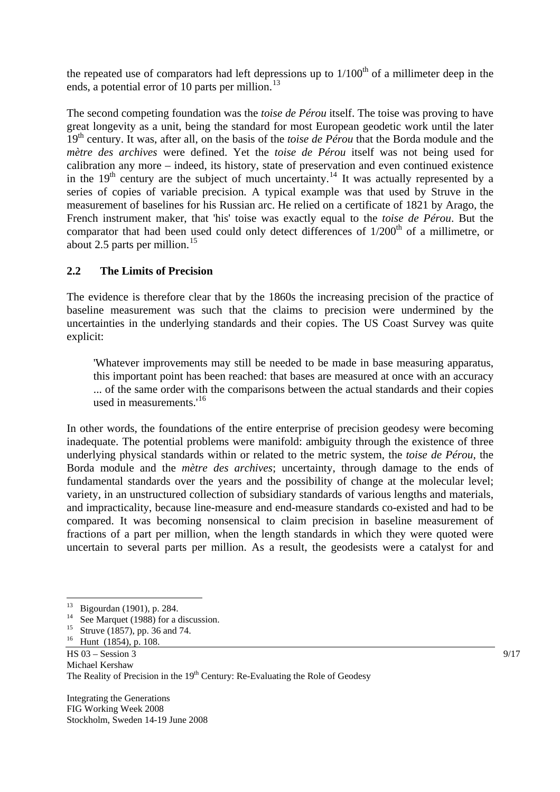the repeated use of comparators had left depressions up to  $1/100<sup>th</sup>$  of a millimeter deep in the ends, a potential error of 10 parts per million. $^{13}$  $^{13}$  $^{13}$ 

The second competing foundation was the *toise de Pérou* itself. The toise was proving to have great longevity as a unit, being the standard for most European geodetic work until the later 19<sup>th</sup> century. It was, after all, on the basis of the *toise de Pérou* that the Borda module and the *mètre des archives* were defined. Yet the *toise de Pérou* itself was not being used for calibration any more – indeed, its history, state of preservation and even continued existence in the  $19<sup>th</sup>$  century are the subject of much uncertainty.<sup>[14](#page-8-1)</sup> It was actually represented by a series of copies of variable precision. A typical example was that used by Struve in the measurement of baselines for his Russian arc. He relied on a certificate of 1821 by Arago, the French instrument maker, that 'his' toise was exactly equal to the *toise de Pérou*. But the comparator that had been used could only detect differences of  $1/200<sup>th</sup>$  of a millimetre, or about 2.5 parts per million.<sup>[15](#page-8-2)</sup>

## **2.2 The Limits of Precision**

The evidence is therefore clear that by the 1860s the increasing precision of the practice of baseline measurement was such that the claims to precision were undermined by the uncertainties in the underlying standards and their copies. The US Coast Survey was quite explicit:

'Whatever improvements may still be needed to be made in base measuring apparatus, this important point has been reached: that bases are measured at once with an accuracy ... of the same order with the comparisons between the actual standards and their copies used in measurements.<sup>[16](#page-8-3)</sup>

In other words, the foundations of the entire enterprise of precision geodesy were becoming inadequate. The potential problems were manifold: ambiguity through the existence of three underlying physical standards within or related to the metric system, the *toise de Pérou*, the Borda module and the *mètre des archives*; uncertainty, through damage to the ends of fundamental standards over the years and the possibility of change at the molecular level; variety, in an unstructured collection of subsidiary standards of various lengths and materials, and impracticality, because line-measure and end-measure standards co-existed and had to be compared. It was becoming nonsensical to claim precision in baseline measurement of fractions of a part per million, when the length standards in which they were quoted were uncertain to several parts per million. As a result, the geodesists were a catalyst for and

 $\overline{a}$ 

<span id="page-8-0"></span> $^{13}$  Bigourdan (1901), p. 284.

See Marquet (1988) for a discussion.

<span id="page-8-1"></span><sup>&</sup>lt;sup>15</sup> Struve (1857), pp. 36 and 74.

<span id="page-8-3"></span><span id="page-8-2"></span> $\text{HS } 03 - \text{Session } 3$  9/17 Michael Kershaw The Reality of Precision in the  $19<sup>th</sup>$  Century: Re-Evaluating the Role of Geodesy  $16$  Hunt (1854), p. 108.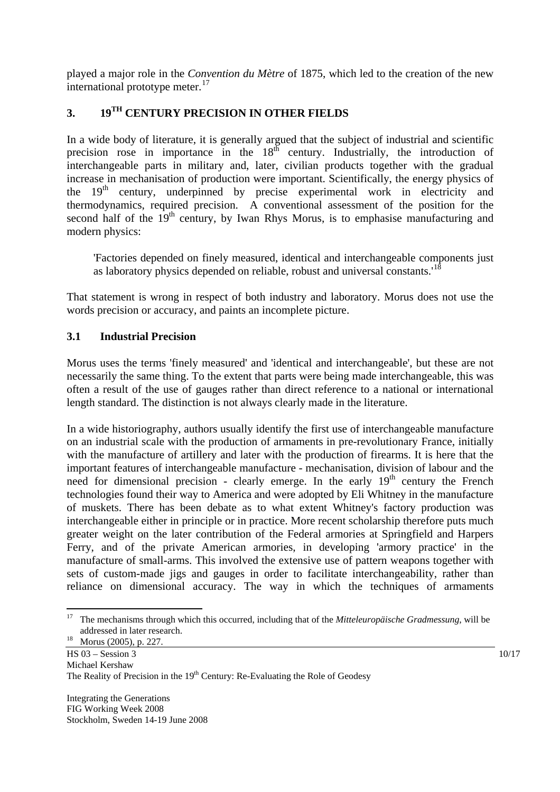played a major role in the *Convention du Mètre* of 1875, which led to the creation of the new international prototype meter. $17$ 

# **3. 19TH CENTURY PRECISION IN OTHER FIELDS**

In a wide body of literature, it is generally argued that the subject of industrial and scientific precision rose in importance in the  $18<sup>th</sup>$  century. Industrially, the introduction of interchangeable parts in military and, later, civilian products together with the gradual increase in mechanisation of production were important. Scientifically, the energy physics of the  $19<sup>th</sup>$  century, underpinned by precise experimental work in electricity and thermodynamics, required precision. A conventional assessment of the position for the second half of the  $19<sup>th</sup>$  century, by Iwan Rhys Morus, is to emphasise manufacturing and modern physics:

'Factories depended on finely measured, identical and interchangeable components just as laboratory physics depended on reliable, robust and universal constants.'[18](#page-9-1)

That statement is wrong in respect of both industry and laboratory. Morus does not use the words precision or accuracy, and paints an incomplete picture.

# **3.1 Industrial Precision**

Morus uses the terms 'finely measured' and 'identical and interchangeable', but these are not necessarily the same thing. To the extent that parts were being made interchangeable, this was often a result of the use of gauges rather than direct reference to a national or international length standard. The distinction is not always clearly made in the literature.

In a wide historiography, authors usually identify the first use of interchangeable manufacture on an industrial scale with the production of armaments in pre-revolutionary France, initially with the manufacture of artillery and later with the production of firearms. It is here that the important features of interchangeable manufacture - mechanisation, division of labour and the need for dimensional precision - clearly emerge. In the early  $19<sup>th</sup>$  century the French technologies found their way to America and were adopted by Eli Whitney in the manufacture of muskets. There has been debate as to what extent Whitney's factory production was interchangeable either in principle or in practice. More recent scholarship therefore puts much greater weight on the later contribution of the Federal armories at Springfield and Harpers Ferry, and of the private American armories, in developing 'armory practice' in the manufacture of small-arms. This involved the extensive use of pattern weapons together with sets of custom-made jigs and gauges in order to facilitate interchangeability, rather than reliance on dimensional accuracy. The way in which the techniques of armaments

<span id="page-9-0"></span><sup>17</sup> 17 The mechanisms through which this occurred, including that of the *Mitteleuropäische Gradmessung*, will be addressed in later research.<br>Morus (2005), p. 227.

<span id="page-9-1"></span> $\overline{HS\ 03} - \text{Session 3}$  10/17 Michael Kershaw The Reality of Precision in the  $19<sup>th</sup>$  Century: Re-Evaluating the Role of Geodesy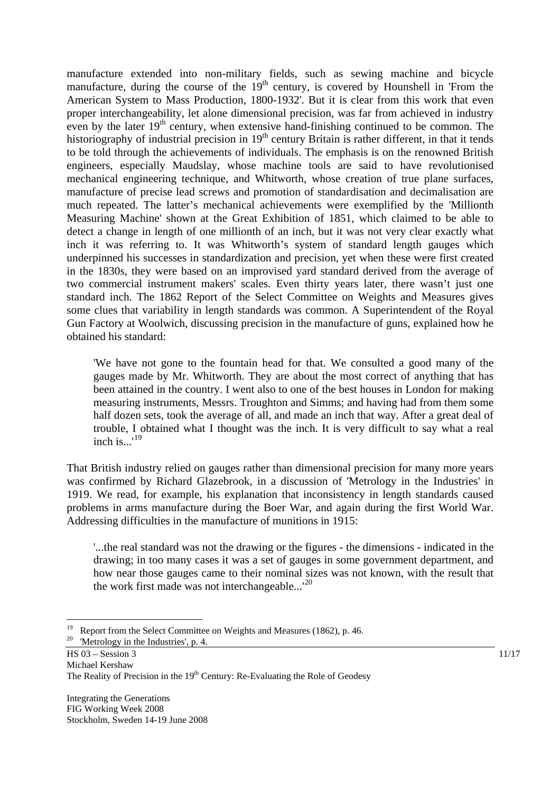manufacture extended into non-military fields, such as sewing machine and bicycle manufacture, during the course of the  $19<sup>th</sup>$  century, is covered by Hounshell in 'From the American System to Mass Production, 1800-1932'. But it is clear from this work that even proper interchangeability, let alone dimensional precision, was far from achieved in industry even by the later  $19<sup>th</sup>$  century, when extensive hand-finishing continued to be common. The historiography of industrial precision in  $19<sup>th</sup>$  century Britain is rather different, in that it tends to be told through the achievements of individuals. The emphasis is on the renowned British engineers, especially Maudslay, whose machine tools are said to have revolutionised mechanical engineering technique, and Whitworth, whose creation of true plane surfaces, manufacture of precise lead screws and promotion of standardisation and decimalisation are much repeated. The latter's mechanical achievements were exemplified by the 'Millionth Measuring Machine' shown at the Great Exhibition of 1851, which claimed to be able to detect a change in length of one millionth of an inch, but it was not very clear exactly what inch it was referring to. It was Whitworth's system of standard length gauges which underpinned his successes in standardization and precision, yet when these were first created in the 1830s, they were based on an improvised yard standard derived from the average of two commercial instrument makers' scales. Even thirty years later, there wasn't just one standard inch. The 1862 Report of the Select Committee on Weights and Measures gives some clues that variability in length standards was common. A Superintendent of the Royal Gun Factory at Woolwich, discussing precision in the manufacture of guns, explained how he obtained his standard:

'We have not gone to the fountain head for that. We consulted a good many of the gauges made by Mr. Whitworth. They are about the most correct of anything that has been attained in the country. I went also to one of the best houses in London for making measuring instruments, Messrs. Troughton and Simms; and having had from them some half dozen sets, took the average of all, and made an inch that way. After a great deal of trouble, I obtained what I thought was the inch. It is very difficult to say what a real inch is...'[19](#page-10-0)

That British industry relied on gauges rather than dimensional precision for many more years was confirmed by Richard Glazebrook, in a discussion of 'Metrology in the Industries' in 1919. We read, for example, his explanation that inconsistency in length standards caused problems in arms manufacture during the Boer War, and again during the first World War. Addressing difficulties in the manufacture of munitions in 1915:

'...the real standard was not the drawing or the figures - the dimensions - indicated in the drawing; in too many cases it was a set of gauges in some government department, and how near those gauges came to their nominal sizes was not known, with the result that the work first made was not interchangeable...<sup>'[20](#page-10-1)</sup>

 $\overline{a}$ 

<span id="page-10-0"></span>Report from the Select Committee on Weights and Measures (1862), p. 46.

<span id="page-10-1"></span> $\text{HS } 03 - \text{Session } 3$  11/17 Michael Kershaw The Reality of Precision in the  $19<sup>th</sup>$  Century: Re-Evaluating the Role of Geodesy 'Metrology in the Industries', p. 4.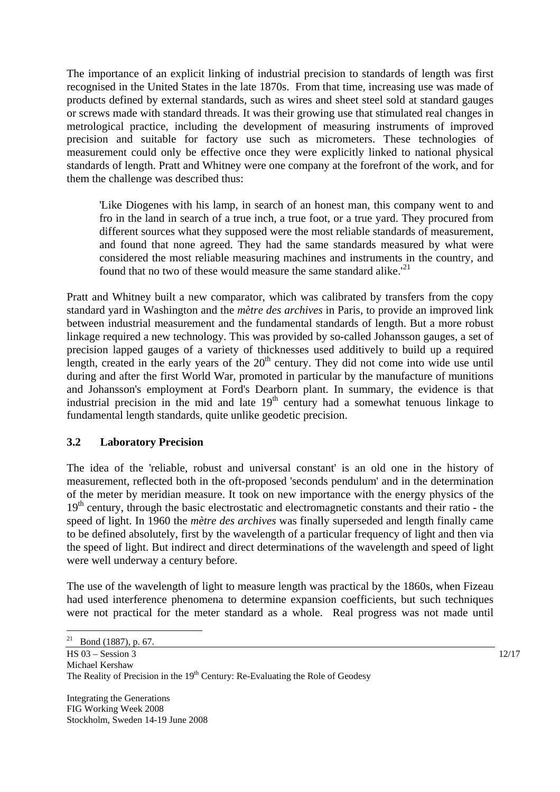The importance of an explicit linking of industrial precision to standards of length was first recognised in the United States in the late 1870s. From that time, increasing use was made of products defined by external standards, such as wires and sheet steel sold at standard gauges or screws made with standard threads. It was their growing use that stimulated real changes in metrological practice, including the development of measuring instruments of improved precision and suitable for factory use such as micrometers. These technologies of measurement could only be effective once they were explicitly linked to national physical standards of length. Pratt and Whitney were one company at the forefront of the work, and for them the challenge was described thus:

'Like Diogenes with his lamp, in search of an honest man, this company went to and fro in the land in search of a true inch, a true foot, or a true yard. They procured from different sources what they supposed were the most reliable standards of measurement, and found that none agreed. They had the same standards measured by what were considered the most reliable measuring machines and instruments in the country, and found that no two of these would measure the same standard alike.<sup> $21$ </sup>

Pratt and Whitney built a new comparator, which was calibrated by transfers from the copy standard yard in Washington and the *mètre des archives* in Paris, to provide an improved link between industrial measurement and the fundamental standards of length. But a more robust linkage required a new technology. This was provided by so-called Johansson gauges, a set of precision lapped gauges of a variety of thicknesses used additively to build up a required length, created in the early years of the  $20<sup>th</sup>$  century. They did not come into wide use until during and after the first World War, promoted in particular by the manufacture of munitions and Johansson's employment at Ford's Dearborn plant. In summary, the evidence is that industrial precision in the mid and late  $19<sup>th</sup>$  century had a somewhat tenuous linkage to fundamental length standards, quite unlike geodetic precision.

## **3.2 Laboratory Precision**

The idea of the 'reliable, robust and universal constant' is an old one in the history of measurement, reflected both in the oft-proposed 'seconds pendulum' and in the determination of the meter by meridian measure. It took on new importance with the energy physics of the  $19<sup>th</sup>$  century, through the basic electrostatic and electromagnetic constants and their ratio - the speed of light. In 1960 the *mètre des archives* was finally superseded and length finally came to be defined absolutely, first by the wavelength of a particular frequency of light and then via the speed of light. But indirect and direct determinations of the wavelength and speed of light were well underway a century before.

The use of the wavelength of light to measure length was practical by the 1860s, when Fizeau had used interference phenomena to determine expansion coefficients, but such techniques were not practical for the meter standard as a whole. Real progress was not made until

 $\overline{a}$ 

<span id="page-11-0"></span><sup>&</sup>lt;sup>21</sup> Bond (1887), p. 67.

HS 03 – Session 3 12/17 Michael Kershaw The Reality of Precision in the 19<sup>th</sup> Century: Re-Evaluating the Role of Geodesy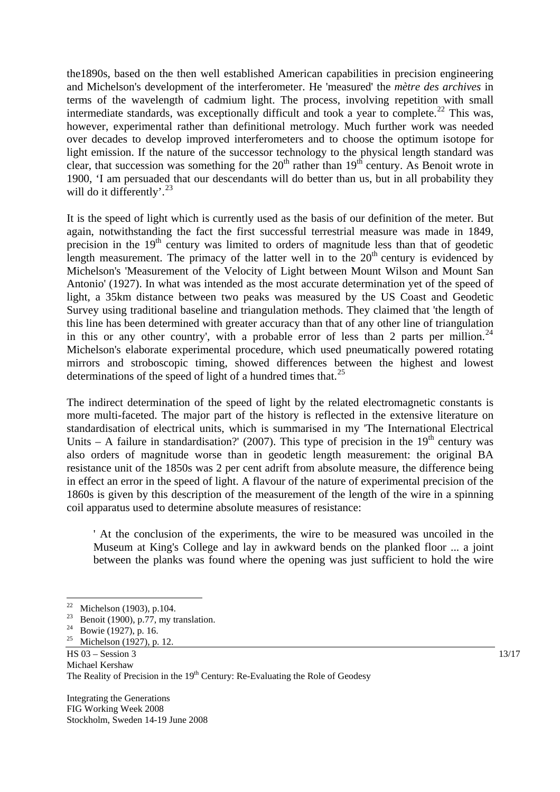the1890s, based on the then well established American capabilities in precision engineering and Michelson's development of the interferometer. He 'measured' the *mètre des archives* in terms of the wavelength of cadmium light. The process, involving repetition with small intermediate standards, was exceptionally difficult and took a year to complete.<sup>[22](#page-12-0)</sup> This was, however, experimental rather than definitional metrology. Much further work was needed over decades to develop improved interferometers and to choose the optimum isotope for light emission. If the nature of the successor technology to the physical length standard was clear, that succession was something for the  $20<sup>th</sup>$  rather than  $19<sup>th</sup>$  century. As Benoit wrote in 1900, 'I am persuaded that our descendants will do better than us, but in all probability they will do it differently'.<sup>[23](#page-12-1)</sup>

It is the speed of light which is currently used as the basis of our definition of the meter*.* But again, notwithstanding the fact the first successful terrestrial measure was made in 1849, precision in the  $19<sup>th</sup>$  century was limited to orders of magnitude less than that of geodetic length measurement. The primacy of the latter well in to the  $20<sup>th</sup>$  century is evidenced by Michelson's 'Measurement of the Velocity of Light between Mount Wilson and Mount San Antonio' (1927). In what was intended as the most accurate determination yet of the speed of light, a 35km distance between two peaks was measured by the US Coast and Geodetic Survey using traditional baseline and triangulation methods. They claimed that 'the length of this line has been determined with greater accuracy than that of any other line of triangulation in this or any other country', with a probable error of less than 2 parts per million.<sup>[24](#page-12-2)</sup> Michelson's elaborate experimental procedure, which used pneumatically powered rotating mirrors and stroboscopic timing, showed differences between the highest and lowest determinations of the speed of light of a hundred times that.<sup>[25](#page-12-3)</sup>

The indirect determination of the speed of light by the related electromagnetic constants is more multi-faceted. The major part of the history is reflected in the extensive literature on standardisation of electrical units, which is summarised in my 'The International Electrical Units – A failure in standardisation?' (2007). This type of precision in the 19<sup>th</sup> century was also orders of magnitude worse than in geodetic length measurement: the original BA resistance unit of the 1850s was 2 per cent adrift from absolute measure, the difference being in effect an error in the speed of light. A flavour of the nature of experimental precision of the 1860s is given by this description of the measurement of the length of the wire in a spinning coil apparatus used to determine absolute measures of resistance:

' At the conclusion of the experiments, the wire to be measured was uncoiled in the Museum at King's College and lay in awkward bends on the planked floor ... a joint between the planks was found where the opening was just sufficient to hold the wire

 $\overline{a}$ 

<span id="page-12-0"></span><sup>&</sup>lt;sup>22</sup> Michelson (1903), p.104.<br><sup>23</sup> Parasit (1909), p.77 max to

<span id="page-12-1"></span><sup>&</sup>lt;sup>23</sup> Benoit (1900), p.77, my translation.<br><sup>24</sup> Boyie (1937), p. 16

<span id="page-12-3"></span><span id="page-12-2"></span><sup>&</sup>lt;sup>24</sup> Bowie (1927), p. 16.<br><sup>25</sup> Michelson (1927), p.

Michelson (1927), p. 12.

 $\text{HS } 03 - \text{Session } 3$  13/17 Michael Kershaw The Reality of Precision in the  $19<sup>th</sup>$  Century: Re-Evaluating the Role of Geodesy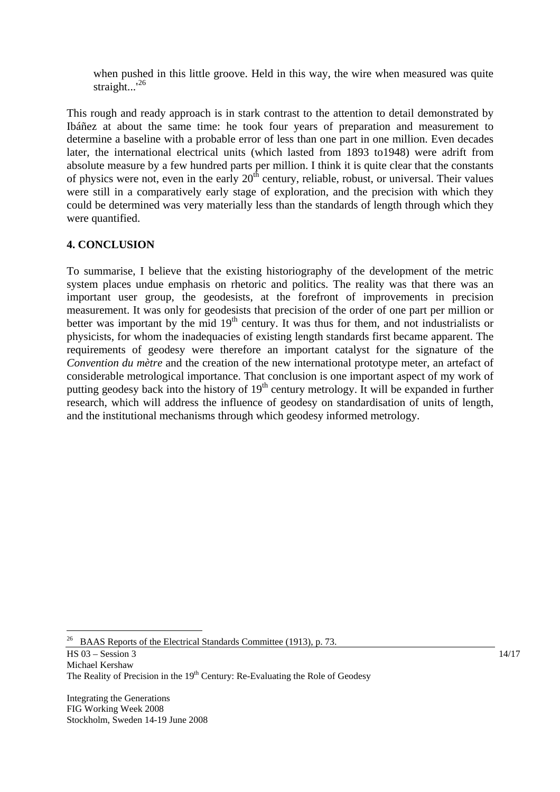when pushed in this little groove. Held in this way, the wire when measured was quite straight...<sup>'[26](#page-13-0)</sup>

This rough and ready approach is in stark contrast to the attention to detail demonstrated by Ibáñez at about the same time: he took four years of preparation and measurement to determine a baseline with a probable error of less than one part in one million. Even decades later, the international electrical units (which lasted from 1893 to1948) were adrift from absolute measure by a few hundred parts per million. I think it is quite clear that the constants of physics were not, even in the early  $20<sup>th</sup>$  century, reliable, robust, or universal. Their values were still in a comparatively early stage of exploration, and the precision with which they could be determined was very materially less than the standards of length through which they were quantified.

# **4. CONCLUSION**

To summarise, I believe that the existing historiography of the development of the metric system places undue emphasis on rhetoric and politics. The reality was that there was an important user group, the geodesists, at the forefront of improvements in precision measurement. It was only for geodesists that precision of the order of one part per million or better was important by the mid  $19<sup>th</sup>$  century. It was thus for them, and not industrialists or physicists, for whom the inadequacies of existing length standards first became apparent. The requirements of geodesy were therefore an important catalyst for the signature of the *Convention du mètre* and the creation of the new international prototype meter, an artefact of considerable metrological importance. That conclusion is one important aspect of my work of putting geodesy back into the history of 19<sup>th</sup> century metrology. It will be expanded in further research, which will address the influence of geodesy on standardisation of units of length, and the institutional mechanisms through which geodesy informed metrology.

 $\overline{HS\ 03} - \text{Session 3}$  14/17 Michael Kershaw The Reality of Precision in the  $19<sup>th</sup>$  Century: Re-Evaluating the Role of Geodesy

Integrating the Generations FIG Working Week 2008 Stockholm, Sweden 14-19 June 2008

 $\overline{a}$ 

<span id="page-13-0"></span><sup>26</sup> BAAS Reports of the Electrical Standards Committee (1913), p. 73.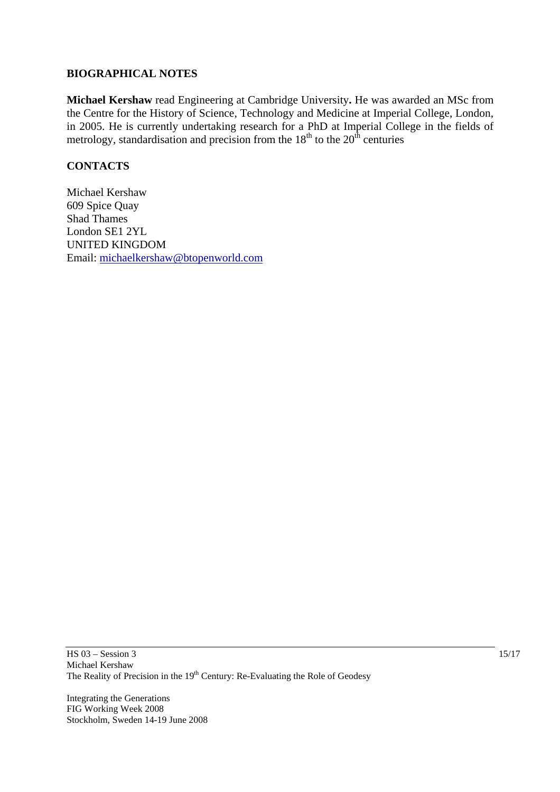#### **BIOGRAPHICAL NOTES**

**Michael Kershaw** read Engineering at Cambridge University**.** He was awarded an MSc from the Centre for the History of Science, Technology and Medicine at Imperial College, London, in 2005. He is currently undertaking research for a PhD at Imperial College in the fields of metrology, standardisation and precision from the  $18<sup>th</sup>$  to the  $20<sup>th</sup>$  centuries

## **CONTACTS**

Michael Kershaw 609 Spice Quay Shad Thames London SE1 2YL UNITED KINGDOM Email: [michaelkershaw@btopenworld.com](mailto:michaelkershaw@btopenworld.com)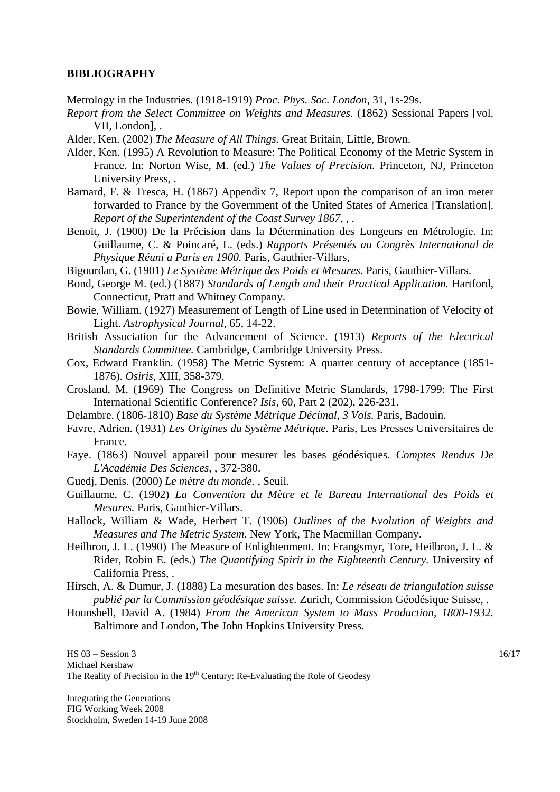#### **BIBLIOGRAPHY**

Metrology in the Industries. (1918-1919) *Proc. Phys. Soc. London,* 31, 1s-29s.

- *Report from the Select Committee on Weights and Measures.* (1862) Sessional Papers [vol. VII, London], .
- Alder, Ken. (2002) *The Measure of All Things.* Great Britain, Little, Brown.
- Alder, Ken. (1995) A Revolution to Measure: The Political Economy of the Metric System in France. In: Norton Wise, M. (ed.) *The Values of Precision.* Princeton, NJ, Princeton University Press, .
- Barnard, F. & Tresca, H. (1867) Appendix 7, Report upon the comparison of an iron meter forwarded to France by the Government of the United States of America [Translation]. *Report of the Superintendent of the Coast Survey 1867,* , .
- Benoit, J. (1900) De la Précision dans la Détermination des Longeurs en Métrologie. In: Guillaume, C. & Poincaré, L. (eds.) *Rapports Présentés au Congrès International de Physique Réuni a Paris en 1900.* Paris, Gauthier-Villars,
- Bigourdan, G. (1901) *Le Système Métrique des Poids et Mesures.* Paris, Gauthier-Villars.
- Bond, George M. (ed.) (1887) *Standards of Length and their Practical Application*. Hartford, Connecticut, Pratt and Whitney Company.
- Bowie, William. (1927) Measurement of Length of Line used in Determination of Velocity of Light. *Astrophysical Journal,* 65, 14-22.
- British Association for the Advancement of Science. (1913) *Reports of the Electrical Standards Committee.* Cambridge, Cambridge University Press.
- Cox, Edward Franklin. (1958) The Metric System: A quarter century of acceptance (1851- 1876). *Osiris,* XIII, 358-379.
- Crosland, M. (1969) The Congress on Definitive Metric Standards, 1798-1799: The First International Scientific Conference? *Isis,* 60, Part 2 (202), 226-231.
- Delambre. (1806-1810) *Base du Système Métrique Décimal, 3 Vols.* Paris, Badouin.
- Favre, Adrien. (1931) *Les Origines du Système Métrique.* Paris, Les Presses Universitaires de France.
- Faye. (1863) Nouvel appareil pour mesurer les bases géodésiques. *Comptes Rendus De L'Académie Des Sciences,* , 372-380.
- Guedj, Denis. (2000) *Le mètre du monde.* , Seuil.
- Guillaume, C. (1902) *La Convention du Mètre et le Bureau International des Poids et Mesures.* Paris, Gauthier-Villars.
- Hallock, William & Wade, Herbert T. (1906) *Outlines of the Evolution of Weights and Measures and The Metric System.* New York, The Macmillan Company.
- Heilbron, J. L. (1990) The Measure of Enlightenment. In: Frangsmyr, Tore, Heilbron, J. L. & Rider, Robin E. (eds.) *The Quantifying Spirit in the Eighteenth Century.* University of California Press, .
- Hirsch, A. & Dumur, J. (1888) La mesuration des bases. In: *Le réseau de triangulation suisse publié par la Commission géodésique suisse.* Zurich, Commission Géodésique Suisse, .
- Hounshell, David A. (1984) *From the American System to Mass Production, 1800-1932.*  Baltimore and London, The John Hopkins University Press.